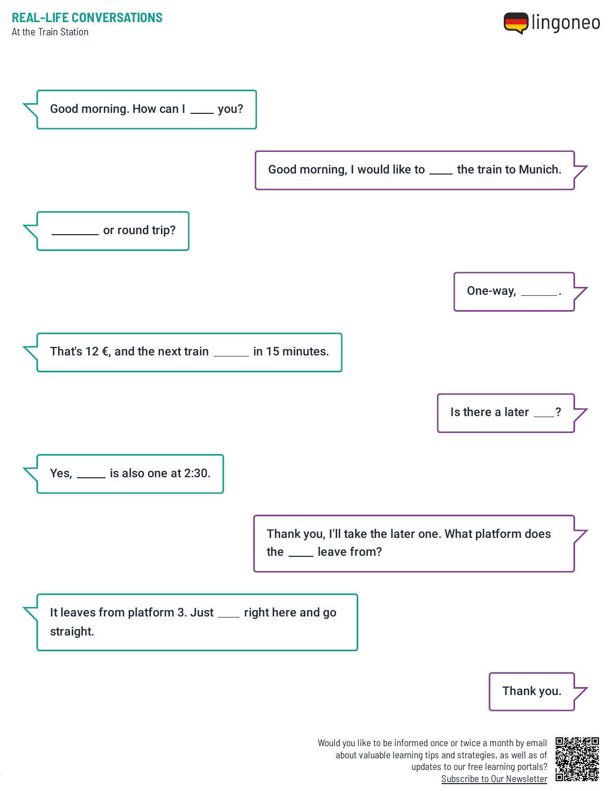



Would you like to be informed once or twice a month by email about valuable learning tips and strategies, as well as of updates to our free learning portals? Subscribe to Our [Newsletter](https://www.lingoneo.org/learn-german?channel=emailcampaignnewsletter&tcontent=so-m-27&tsource=srt_source)